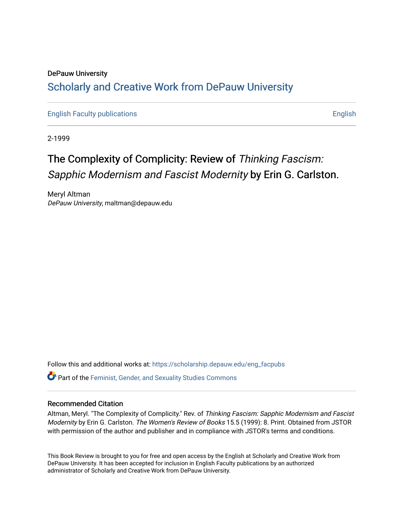### DePauw University Scholarly and [Creative Work from DePauw Univ](https://scholarship.depauw.edu/)ersity

[English Faculty publications](https://scholarship.depauw.edu/eng_facpubs) **English** English

2-1999

## The Complexity of Complicity: Review of Thinking Fascism: Sapphic Modernism and Fascist Modernity by Erin G. Carlston.

Meryl Altman DePauw University, maltman@depauw.edu

Follow this and additional works at: [https://scholarship.depauw.edu/eng\\_facpubs](https://scholarship.depauw.edu/eng_facpubs?utm_source=scholarship.depauw.edu%2Feng_facpubs%2F4&utm_medium=PDF&utm_campaign=PDFCoverPages) 

Part of the [Feminist, Gender, and Sexuality Studies Commons](https://network.bepress.com/hgg/discipline/559?utm_source=scholarship.depauw.edu%2Feng_facpubs%2F4&utm_medium=PDF&utm_campaign=PDFCoverPages)

#### Recommended Citation

Altman, Meryl. "The Complexity of Complicity." Rev. of Thinking Fascism: Sapphic Modernism and Fascist Modernity by Erin G. Carlston. The Women's Review of Books 15.5 (1999): 8. Print. Obtained from JSTOR with permission of the author and publisher and in compliance with JSTOR's terms and conditions.

This Book Review is brought to you for free and open access by the English at Scholarly and Creative Work from DePauw University. It has been accepted for inclusion in English Faculty publications by an authorized administrator of Scholarly and Creative Work from DePauw University.